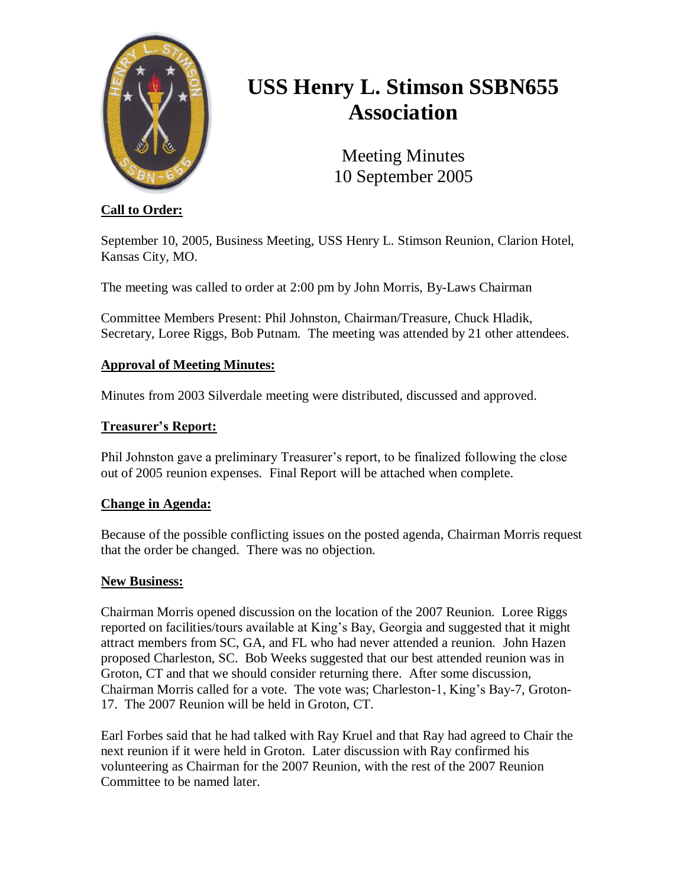

# **USS Henry L. Stimson SSBN655 Association**

Meeting Minutes 10 September 2005

# **Call to Order:**

September 10, 2005, Business Meeting, USS Henry L. Stimson Reunion, Clarion Hotel, Kansas City, MO.

The meeting was called to order at 2:00 pm by John Morris, By-Laws Chairman

Committee Members Present: Phil Johnston, Chairman/Treasure, Chuck Hladik, Secretary, Loree Riggs, Bob Putnam. The meeting was attended by 21 other attendees.

# **Approval of Meeting Minutes:**

Minutes from 2003 Silverdale meeting were distributed, discussed and approved.

### **Treasurer's Report:**

Phil Johnston gave a preliminary Treasurer's report, to be finalized following the close out of 2005 reunion expenses. Final Report will be attached when complete.

### **Change in Agenda:**

Because of the possible conflicting issues on the posted agenda, Chairman Morris request that the order be changed. There was no objection.

### **New Business:**

Chairman Morris opened discussion on the location of the 2007 Reunion. Loree Riggs reported on facilities/tours available at King's Bay, Georgia and suggested that it might attract members from SC, GA, and FL who had never attended a reunion. John Hazen proposed Charleston, SC. Bob Weeks suggested that our best attended reunion was in Groton, CT and that we should consider returning there. After some discussion, Chairman Morris called for a vote. The vote was; Charleston-1, King's Bay-7, Groton-17. The 2007 Reunion will be held in Groton, CT.

Earl Forbes said that he had talked with Ray Kruel and that Ray had agreed to Chair the next reunion if it were held in Groton. Later discussion with Ray confirmed his volunteering as Chairman for the 2007 Reunion, with the rest of the 2007 Reunion Committee to be named later.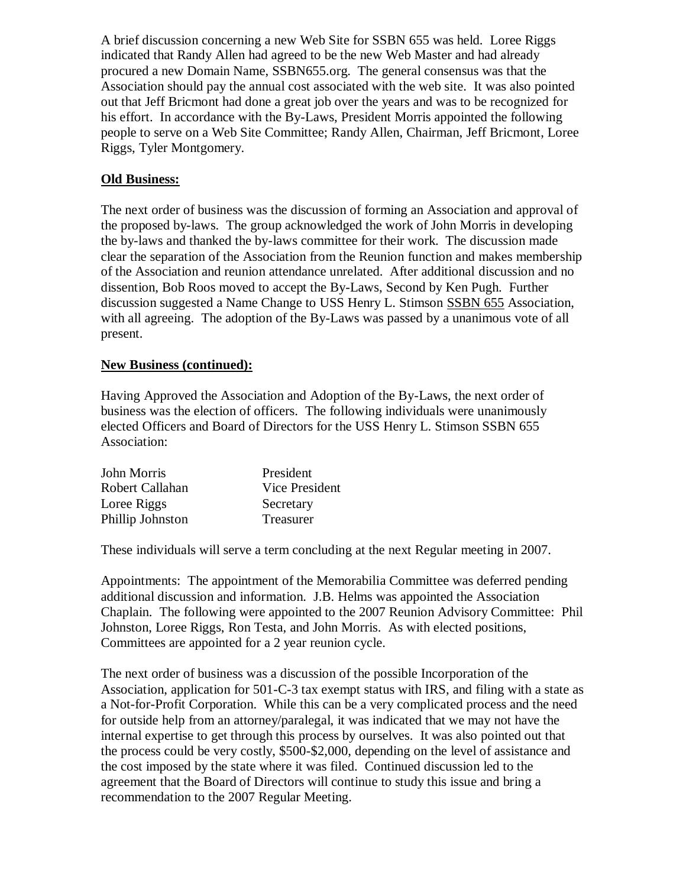A brief discussion concerning a new Web Site for SSBN 655 was held. Loree Riggs indicated that Randy Allen had agreed to be the new Web Master and had already procured a new Domain Name, SSBN655.org. The general consensus was that the Association should pay the annual cost associated with the web site. It was also pointed out that Jeff Bricmont had done a great job over the years and was to be recognized for his effort. In accordance with the By-Laws, President Morris appointed the following people to serve on a Web Site Committee; Randy Allen, Chairman, Jeff Bricmont, Loree Riggs, Tyler Montgomery.

## **Old Business:**

The next order of business was the discussion of forming an Association and approval of the proposed by-laws. The group acknowledged the work of John Morris in developing the by-laws and thanked the by-laws committee for their work. The discussion made clear the separation of the Association from the Reunion function and makes membership of the Association and reunion attendance unrelated. After additional discussion and no dissention, Bob Roos moved to accept the By-Laws, Second by Ken Pugh. Further discussion suggested a Name Change to USS Henry L. Stimson SSBN 655 Association, with all agreeing. The adoption of the By-Laws was passed by a unanimous vote of all present.

### **New Business (continued):**

Having Approved the Association and Adoption of the By-Laws, the next order of business was the election of officers. The following individuals were unanimously elected Officers and Board of Directors for the USS Henry L. Stimson SSBN 655 Association:

| John Morris      | President             |
|------------------|-----------------------|
| Robert Callahan  | <b>Vice President</b> |
| Loree Riggs      | Secretary             |
| Phillip Johnston | Treasurer             |

These individuals will serve a term concluding at the next Regular meeting in 2007.

Appointments: The appointment of the Memorabilia Committee was deferred pending additional discussion and information. J.B. Helms was appointed the Association Chaplain. The following were appointed to the 2007 Reunion Advisory Committee: Phil Johnston, Loree Riggs, Ron Testa, and John Morris. As with elected positions, Committees are appointed for a 2 year reunion cycle.

The next order of business was a discussion of the possible Incorporation of the Association, application for 501-C-3 tax exempt status with IRS, and filing with a state as a Not-for-Profit Corporation. While this can be a very complicated process and the need for outside help from an attorney/paralegal, it was indicated that we may not have the internal expertise to get through this process by ourselves. It was also pointed out that the process could be very costly, \$500-\$2,000, depending on the level of assistance and the cost imposed by the state where it was filed. Continued discussion led to the agreement that the Board of Directors will continue to study this issue and bring a recommendation to the 2007 Regular Meeting.